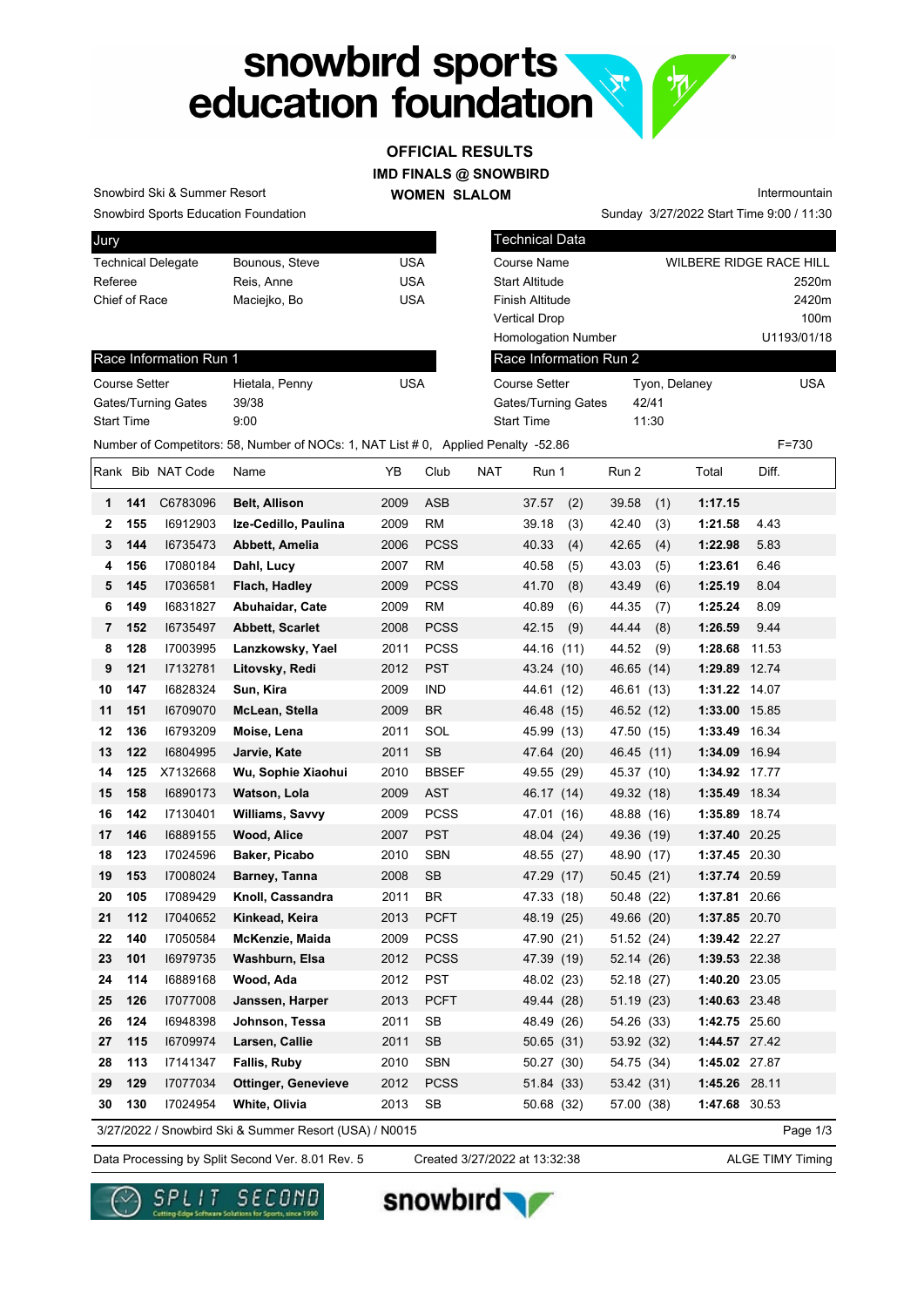# snowbird sports<br>education foundation **VAC**

#### **IMD FINALS @ SNOWBIRD WOMEN SLALOM OFFICIAL RESULTS**

Snowbird Ski & Summer Resort

Race Information Run 1

Gates/Turning Gates 39/38 Start Time 9:00

Snowbird Sports Education Foundation

| Jury                      |                |     |
|---------------------------|----------------|-----|
| <b>Technical Delegate</b> | Bounous, Steve | USA |
| Referee                   | Reis, Anne     | USA |
| Chief of Race             | Maciejko, Bo   | USA |
|                           |                |     |

Course Setter Hietala, Penny USA

| <b>Technical Data</b>      |                         |                  |
|----------------------------|-------------------------|------------------|
| Course Name                | WILBERE RIDGE RACE HILL |                  |
| <b>Start Altitude</b>      |                         | 2520m            |
| Finish Altitude            |                         | 2420m            |
| Vertical Drop              |                         | 100 <sub>m</sub> |
| <b>Homologation Number</b> |                         | U1193/01/18      |
| Race Information Run 2     |                         |                  |
| Course Setter              | Tyon, Delaney           | USA              |
| Gates/Turning Gates        | 42/41                   |                  |
| Start Time                 | 11:30                   |                  |
|                            |                         |                  |

Sunday 3/27/2022 Start Time 9:00 / 11:30

Intermountain

Number of Competitors: 58, Number of NOCs: 1, NAT List # 0, Applied Penalty -52.86 F=730

|    |     | Rank Bib NAT Code | Name                                                   | YΒ   | Club         | <b>NAT</b> | Run 1        | Run 2      | Total          | Diff.         |
|----|-----|-------------------|--------------------------------------------------------|------|--------------|------------|--------------|------------|----------------|---------------|
| 1  | 141 | C6783096          | Belt, Allison                                          | 2009 | ASB          |            | 37.57<br>(2) | 39.58      | 1:17.15<br>(1) |               |
| 2  | 155 | 16912903          | Ize-Cedillo, Paulina                                   | 2009 | <b>RM</b>    |            | 39.18<br>(3) | 42.40      | (3)<br>1:21.58 | 4.43          |
| 3  | 144 | 16735473          | Abbett, Amelia                                         | 2006 | <b>PCSS</b>  |            | 40.33<br>(4) | 42.65      | (4)<br>1:22.98 | 5.83          |
| 4  | 156 | 17080184          | Dahl, Lucy                                             | 2007 | RM           |            | 40.58<br>(5) | 43.03      | (5)<br>1:23.61 | 6.46          |
| 5  | 145 | 17036581          | Flach, Hadley                                          | 2009 | <b>PCSS</b>  |            | 41.70<br>(8) | 43.49      | (6)<br>1:25.19 | 8.04          |
| 6  | 149 | 16831827          | Abuhaidar, Cate                                        | 2009 | <b>RM</b>    |            | 40.89<br>(6) | 44.35      | 1:25.24<br>(7) | 8.09          |
| 7  | 152 | 16735497          | <b>Abbett, Scarlet</b>                                 | 2008 | <b>PCSS</b>  |            | 42.15<br>(9) | 44.44      | (8)<br>1:26.59 | 9.44          |
| 8  | 128 | 17003995          | Lanzkowsky, Yael                                       | 2011 | <b>PCSS</b>  |            | 44.16 (11)   | 44.52      | (9)<br>1:28.68 | 11.53         |
| 9  | 121 | 17132781          | Litovsky, Redi                                         | 2012 | <b>PST</b>   |            | 43.24 (10)   | 46.65      | (14)           | 1:29.89 12.74 |
| 10 | 147 | 16828324          | Sun, Kira                                              | 2009 | <b>IND</b>   |            | 44.61 (12)   | 46.61 (13) |                | 1:31.22 14.07 |
| 11 | 151 | 16709070          | McLean, Stella                                         | 2009 | BR           |            | 46.48 (15)   | 46.52 (12) |                | 1:33.00 15.85 |
| 12 | 136 | 16793209          | Moise, Lena                                            | 2011 | SOL          |            | 45.99 (13)   | 47.50 (15) |                | 1:33.49 16.34 |
| 13 | 122 | 16804995          | Jarvie, Kate                                           | 2011 | <b>SB</b>    |            | 47.64 (20)   | 46.45 (11) |                | 1:34.09 16.94 |
| 14 | 125 | X7132668          | Wu, Sophie Xiaohui                                     | 2010 | <b>BBSEF</b> |            | 49.55 (29)   | 45.37 (10) |                | 1:34.92 17.77 |
| 15 | 158 | 16890173          | Watson, Lola                                           | 2009 | <b>AST</b>   |            | 46.17 (14)   | 49.32 (18) |                | 1:35.49 18.34 |
| 16 | 142 | 17130401          | Williams, Savvy                                        | 2009 | <b>PCSS</b>  |            | 47.01 (16)   | 48.88 (16) |                | 1:35.89 18.74 |
| 17 | 146 | 16889155          | Wood, Alice                                            | 2007 | <b>PST</b>   |            | 48.04 (24)   | 49.36 (19) |                | 1:37.40 20.25 |
| 18 | 123 | 17024596          | Baker, Picabo                                          | 2010 | <b>SBN</b>   |            | 48.55 (27)   | 48.90 (17) |                | 1:37.45 20.30 |
| 19 | 153 | 17008024          | Barney, Tanna                                          | 2008 | <b>SB</b>    |            | 47.29 (17)   | 50.45 (21) |                | 1:37.74 20.59 |
| 20 | 105 | 17089429          | Knoll, Cassandra                                       | 2011 | BR.          |            | 47.33 (18)   | 50.48 (22) |                | 1:37.81 20.66 |
| 21 | 112 | 17040652          | Kinkead, Keira                                         | 2013 | <b>PCFT</b>  |            | 48.19 (25)   | 49.66 (20) |                | 1:37.85 20.70 |
| 22 | 140 | 17050584          | McKenzie, Maida                                        | 2009 | <b>PCSS</b>  |            | 47.90 (21)   | 51.52 (24) |                | 1:39.42 22.27 |
| 23 | 101 | 16979735          | Washburn, Elsa                                         | 2012 | <b>PCSS</b>  |            | 47.39 (19)   | 52.14 (26) |                | 1:39.53 22.38 |
| 24 | 114 | 16889168          | Wood, Ada                                              | 2012 | PST          |            | 48.02 (23)   | 52.18 (27) |                | 1:40.20 23.05 |
| 25 | 126 | 17077008          | Janssen, Harper                                        | 2013 | <b>PCFT</b>  |            | 49.44 (28)   | 51.19 (23) |                | 1:40.63 23.48 |
| 26 | 124 | 16948398          | Johnson, Tessa                                         | 2011 | SB           |            | 48.49 (26)   | 54.26 (33) |                | 1:42.75 25.60 |
| 27 | 115 | 16709974          | Larsen, Callie                                         | 2011 | <b>SB</b>    |            | 50.65 (31)   | 53.92 (32) |                | 1:44.57 27.42 |
| 28 | 113 | 17141347          | Fallis, Ruby                                           | 2010 | <b>SBN</b>   |            | 50.27 (30)   | 54.75 (34) |                | 1:45.02 27.87 |
| 29 | 129 | 17077034          | <b>Ottinger, Genevieve</b>                             | 2012 | <b>PCSS</b>  |            | 51.84 (33)   | 53.42 (31) |                | 1:45.26 28.11 |
| 30 | 130 | 17024954          | White, Olivia                                          | 2013 | SB           |            | 50.68 (32)   | 57.00 (38) |                | 1:47.68 30.53 |
|    |     |                   | 3/27/2022 / Snowbird Ski & Summer Resort (USA) / N0015 |      |              |            |              |            |                | Page 1/3      |

Data Processing by Split Second Ver. 8.01 Rev. 5 Created 3/27/2022 at 13:32:38 ALGE TIMY Timing

Created 3/27/2022 at 13:32:38





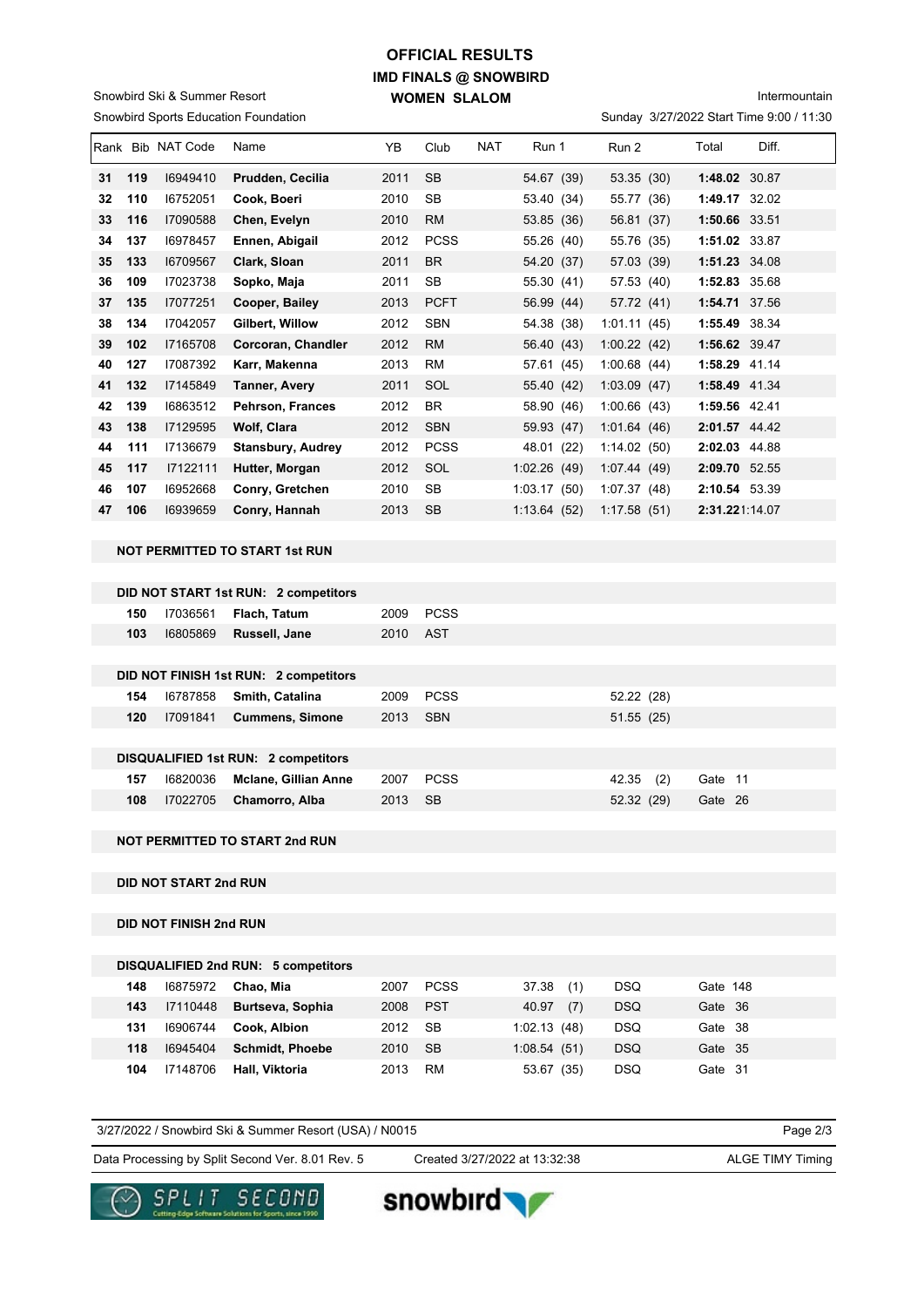### **IMD FINALS @ SNOWBIRD WOMEN SLALOM OFFICIAL RESULTS**

Snowbird Sports Education Foundation Snowbird Ski & Summer Resort

## Intermountain

Sunday 3/27/2022 Start Time 9:00 / 11:30

| Rank |     | <b>Bib NAT Code</b> | Name                     | YB.  | Club        | <b>NAT</b> | Run 1       | Run 2         | Total          | Diff. |
|------|-----|---------------------|--------------------------|------|-------------|------------|-------------|---------------|----------------|-------|
| 31   | 119 | 16949410            | Prudden, Cecilia         | 2011 | <b>SB</b>   |            | 54.67 (39)  | 53.35(30)     | 1:48.02 30.87  |       |
| 32   | 110 | 16752051            | Cook, Boeri              | 2010 | SB          |            | 53.40 (34)  | 55.77<br>(36) | 1:49.17 32.02  |       |
| 33   | 116 | 17090588            | Chen, Evelyn             | 2010 | <b>RM</b>   |            | 53.85 (36)  | 56.81 (37)    | 1:50.66 33.51  |       |
| 34   | 137 | 16978457            | Ennen, Abigail           | 2012 | <b>PCSS</b> |            | 55.26 (40)  | 55.76 (35)    | 1:51.02 33.87  |       |
| 35   | 133 | 16709567            | Clark, Sloan             | 2011 | <b>BR</b>   |            | 54.20 (37)  | 57.03 (39)    | 1:51.23 34.08  |       |
| 36   | 109 | 17023738            | Sopko, Maja              | 2011 | <b>SB</b>   |            | 55.30 (41)  | 57.53 (40)    | 1:52.83 35.68  |       |
| 37   | 135 | 17077251            | Cooper, Bailey           | 2013 | <b>PCFT</b> |            | 56.99 (44)  | 57.72 (41)    | 1:54.71 37.56  |       |
| 38   | 134 | 17042057            | Gilbert, Willow          | 2012 | <b>SBN</b>  |            | 54.38 (38)  | 1:01.11(45)   | 1:55.49        | 38.34 |
| 39   | 102 | 17165708            | Corcoran, Chandler       | 2012 | <b>RM</b>   |            | 56.40 (43)  | 1:00.22(42)   | 1:56.62 39.47  |       |
| 40   | 127 | 17087392            | Karr, Makenna            | 2013 | <b>RM</b>   |            | 57.61 (45)  | 1:00.68(44)   | 1:58.29 41.14  |       |
| 41   | 132 | 17145849            | <b>Tanner, Avery</b>     | 2011 | SOL         |            | 55.40 (42)  | 1:03.09(47)   | 1:58.49 41.34  |       |
| 42   | 139 | 16863512            | <b>Pehrson, Frances</b>  | 2012 | <b>BR</b>   |            | 58.90 (46)  | 1:00.66(43)   | 1:59.56 42.41  |       |
| 43   | 138 | 17129595            | <b>Wolf, Clara</b>       | 2012 | <b>SBN</b>  |            | 59.93 (47)  | 1:01.64(46)   | 2:01.57 44.42  |       |
| 44   | 111 | 17136679            | <b>Stansbury, Audrey</b> | 2012 | <b>PCSS</b> |            | 48.01 (22)  | 1:14.02(50)   | 2:02.03 44.88  |       |
| 45   | 117 | 17122111            | Hutter, Morgan           | 2012 | SOL         |            | 1:02.26(49) | 1:07.44(49)   | 2:09.70 52.55  |       |
| 46   | 107 | 16952668            | Conry, Gretchen          | 2010 | <b>SB</b>   |            | 1:03.17(50) | 1:07.37(48)   | 2:10.54 53.39  |       |
| 47   | 106 | 16939659            | Conry, Hannah            | 2013 | <b>SB</b>   |            | 1:13.64(52) | 1:17.58(51)   | 2:31.221:14.07 |       |

#### **NOT PERMITTED TO START 1st RUN**

|     |          | DID NOT START 1st RUN: 2 competitors       |      |             |              |              |  |
|-----|----------|--------------------------------------------|------|-------------|--------------|--------------|--|
| 150 | 17036561 | Flach, Tatum                               | 2009 | <b>PCSS</b> |              |              |  |
| 103 | 16805869 | Russell, Jane                              | 2010 | AST         |              |              |  |
|     |          |                                            |      |             |              |              |  |
|     |          | DID NOT FINISH 1st RUN: 2 competitors      |      |             |              |              |  |
| 154 | 16787858 | Smith, Catalina                            | 2009 | <b>PCSS</b> | 52.22 (28)   |              |  |
| 120 | 17091841 | <b>Cummens, Simone</b>                     | 2013 | <b>SBN</b>  | 51.55(25)    |              |  |
|     |          |                                            |      |             |              |              |  |
|     |          | <b>DISQUALIFIED 1st RUN: 2 competitors</b> |      |             |              |              |  |
| 157 | 16820036 | <b>Mclane, Gillian Anne</b>                | 2007 | <b>PCSS</b> | 42.35<br>(2) | Gate 11      |  |
| 108 | 17022705 | Chamorro, Alba                             | 2013 | SB          | 52.32 (29)   | Gate<br>- 26 |  |
|     |          |                                            |      |             |              |              |  |

#### **NOT PERMITTED TO START 2nd RUN**

**DID NOT START 2nd RUN**

#### **DID NOT FINISH 2nd RUN**

|     |          | DISQUALIFIED 2nd RUN: 5 competitors |      |             |               |            |          |
|-----|----------|-------------------------------------|------|-------------|---------------|------------|----------|
| 148 | 16875972 | Chao, Mia                           | 2007 | <b>PCSS</b> | (1)<br>37.38  | <b>DSQ</b> | Gate 148 |
| 143 | 17110448 | Burtseva, Sophia                    | 2008 | <b>PST</b>  | (7)<br>40.97  | <b>DSQ</b> | Gate 36  |
| 131 | 16906744 | Cook, Albion                        | 2012 | <b>SB</b>   | 1:02.13(48)   | <b>DSQ</b> | Gate 38  |
| 118 | 16945404 | <b>Schmidt</b> , Phoebe             | 2010 | -SB         | 1:08.54(51)   | <b>DSQ</b> | Gate 35  |
| 104 | 17148706 | Hall, Viktoria                      | 2013 | RM          | (35)<br>53.67 | <b>DSQ</b> | Gate 31  |

| 3/27/2022 / Snowbird Ski & Summer Resort (USA) / N0015 |                               | Page $2/3$              |
|--------------------------------------------------------|-------------------------------|-------------------------|
| Data Processing by Split Second Ver. 8.01 Rev. 5       | Created 3/27/2022 at 13:32:38 | <b>ALGE TIMY Timing</b> |